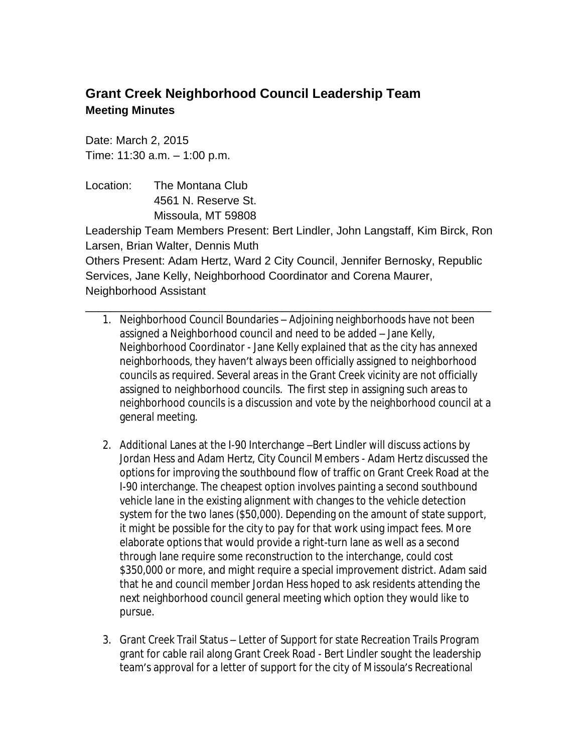## **Grant Creek Neighborhood Council Leadership Team Meeting Minutes**

Date: March 2, 2015 Time: 11:30 a.m. – 1:00 p.m.

Location: The Montana Club 4561 N. Reserve St. Missoula, MT 59808

Leadership Team Members Present: Bert Lindler, John Langstaff, Kim Birck, Ron Larsen, Brian Walter, Dennis Muth Others Present: Adam Hertz, Ward 2 City Council, Jennifer Bernosky, Republic Services, Jane Kelly, Neighborhood Coordinator and Corena Maurer,

\_\_\_\_\_\_\_\_\_\_\_\_\_\_\_\_\_\_\_\_\_\_\_\_\_\_\_\_\_\_\_\_\_\_\_\_\_\_\_\_\_\_\_\_\_\_\_\_\_\_\_\_\_\_\_\_\_\_\_\_\_\_\_\_

Neighborhood Assistant

- 1. Neighborhood Council Boundaries Adjoining neighborhoods have not been assigned a Neighborhood council and need to be added – Jane Kelly, Neighborhood Coordinator - Jane Kelly explained that as the city has annexed neighborhoods, they haven't always been officially assigned to neighborhood councils as required. Several areas in the Grant Creek vicinity are not officially assigned to neighborhood councils. The first step in assigning such areas to neighborhood councils is a discussion and vote by the neighborhood council at a general meeting.
- 2. Additional Lanes at the I-90 Interchange –Bert Lindler will discuss actions by Jordan Hess and Adam Hertz, City Council Members - Adam Hertz discussed the options for improving the southbound flow of traffic on Grant Creek Road at the I-90 interchange. The cheapest option involves painting a second southbound vehicle lane in the existing alignment with changes to the vehicle detection system for the two lanes (\$50,000). Depending on the amount of state support, it might be possible for the city to pay for that work using impact fees. More elaborate options that would provide a right-turn lane as well as a second through lane require some reconstruction to the interchange, could cost \$350,000 or more, and might require a special improvement district. Adam said that he and council member Jordan Hess hoped to ask residents attending the next neighborhood council general meeting which option they would like to pursue.
- 3. Grant Creek Trail Status Letter of Support for state Recreation Trails Program grant for cable rail along Grant Creek Road - Bert Lindler sought the leadership team's approval for a letter of support for the city of Missoula's Recreational